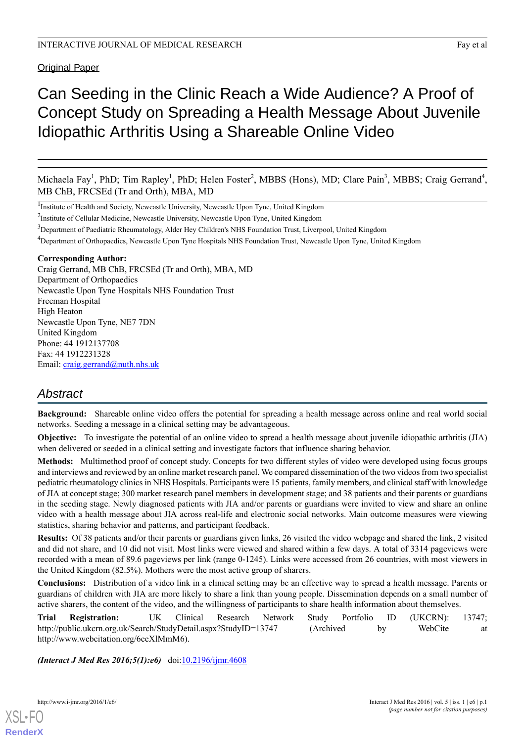**Original Paper** 

# Can Seeding in the Clinic Reach a Wide Audience? A Proof of Concept Study on Spreading a Health Message About Juvenile Idiopathic Arthritis Using a Shareable Online Video

Michaela Fay<sup>1</sup>, PhD; Tim Rapley<sup>1</sup>, PhD; Helen Foster<sup>2</sup>, MBBS (Hons), MD; Clare Pain<sup>3</sup>, MBBS; Craig Gerrand<sup>4</sup>, MB ChB, FRCSEd (Tr and Orth), MBA, MD

<sup>1</sup>Institute of Health and Society, Newcastle University, Newcastle Upon Tyne, United Kingdom

<sup>2</sup>Institute of Cellular Medicine, Newcastle University, Newcastle Upon Tyne, United Kingdom

<sup>3</sup>Department of Paediatric Rheumatology, Alder Hey Children's NHS Foundation Trust, Liverpool, United Kingdom

<sup>4</sup>Department of Orthopaedics, Newcastle Upon Tyne Hospitals NHS Foundation Trust, Newcastle Upon Tyne, United Kingdom

#### **Corresponding Author:**

Craig Gerrand, MB ChB, FRCSEd (Tr and Orth), MBA, MD Department of Orthopaedics Newcastle Upon Tyne Hospitals NHS Foundation Trust Freeman Hospital High Heaton Newcastle Upon Tyne, NE7 7DN United Kingdom Phone: 44 1912137708 Fax: 44 1912231328 Email: [craig.gerrand@nuth.nhs.uk](mailto:craig.gerrand@nuth.nhs.uk)

# *Abstract*

**Background:** Shareable online video offers the potential for spreading a health message across online and real world social networks. Seeding a message in a clinical setting may be advantageous.

**Objective:** To investigate the potential of an online video to spread a health message about juvenile idiopathic arthritis (JIA) when delivered or seeded in a clinical setting and investigate factors that influence sharing behavior.

**Methods:** Multimethod proof of concept study. Concepts for two different styles of video were developed using focus groups and interviews and reviewed by an online market research panel. We compared dissemination of the two videos from two specialist pediatric rheumatology clinics in NHS Hospitals. Participants were 15 patients, family members, and clinical staff with knowledge of JIA at concept stage; 300 market research panel members in development stage; and 38 patients and their parents or guardians in the seeding stage. Newly diagnosed patients with JIA and/or parents or guardians were invited to view and share an online video with a health message about JIA across real-life and electronic social networks. Main outcome measures were viewing statistics, sharing behavior and patterns, and participant feedback.

**Results:** Of 38 patients and/or their parents or guardians given links, 26 visited the video webpage and shared the link, 2 visited and did not share, and 10 did not visit. Most links were viewed and shared within a few days. A total of 3314 pageviews were recorded with a mean of 89.6 pageviews per link (range 0-1245). Links were accessed from 26 countries, with most viewers in the United Kingdom (82.5%). Mothers were the most active group of sharers.

**Conclusions:** Distribution of a video link in a clinical setting may be an effective way to spread a health message. Parents or guardians of children with JIA are more likely to share a link than young people. Dissemination depends on a small number of active sharers, the content of the video, and the willingness of participants to share health information about themselves.

**Trial Registration:** UK Clinical Research Network Study Portfolio ID (UKCRN): 13747; http://public.ukcrn.org.uk/Search/StudyDetail.aspx?StudyID=13747 (Archived by WebCite at http://www.webcitation.org/6eeXlMmM6).

*(Interact J Med Res 2016;5(1):e6)* doi: $10.2196/ijmr.4608$ 

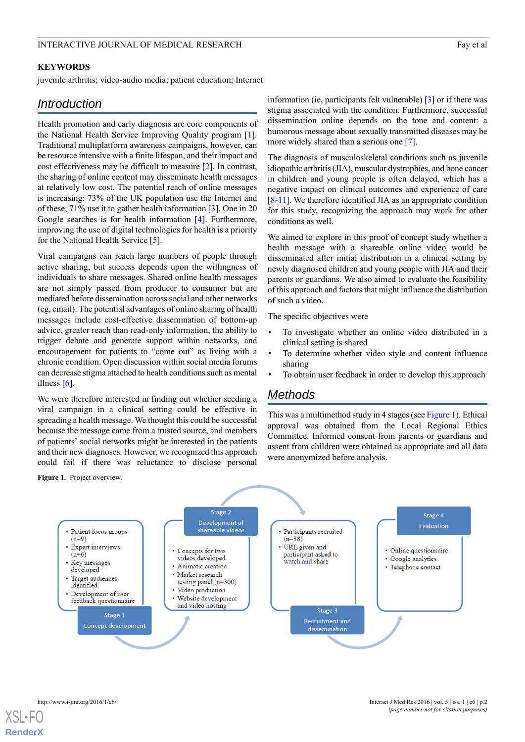#### INTERACTIVE JOURNAL OF MEDICAL RESEARCH FAY EXAMPLE TO A RESEARCH FAY A RESEARCH FAY AND THE SERVICE OF MEDICAL RESEARCH

#### **KEYWORDS**

juvenile arthritis; video-audio media; patient education; Internet

# *Introduction*

Health promotion and early diagnosis are core components of the National Health Service Improving Quality program [[1\]](#page-8-0). Traditional multiplatform awareness campaigns, however, can be resource intensive with a finite lifespan, and their impact and cost effectiveness may be difficult to measure [[2\]](#page-8-1). In contrast, the sharing of online content may disseminate health messages at relatively low cost. The potential reach of online messages is increasing: 73% of the UK population use the Internet and of these, 71% use it to gather health information [[3](#page-8-2)]. One in 20 Google searches is for health information [\[4](#page-8-3)]. Furthermore, improving the use of digital technologies for health is a priority for the National Health Service [\[5](#page-8-4)].

Viral campaigns can reach large numbers of people through active sharing, but success depends upon the willingness of individuals to share messages. Shared online health messages are not simply passed from producer to consumer but are mediated before dissemination across social and other networks (eg, email). The potential advantages of online sharing of health messages include cost-effective dissemination of bottom-up advice, greater reach than read-only information, the ability to trigger debate and generate support within networks, and encouragement for patients to "come out" as living with a chronic condition. Open discussion within social media forums can decrease stigma attached to health conditions such as mental illness [[6\]](#page-9-0).

<span id="page-1-0"></span>We were therefore interested in finding out whether seeding a viral campaign in a clinical setting could be effective in spreading a health message. We thought this could be successful because the message came from a trusted source, and members of patients' social networks might be interested in the patients and their new diagnoses. However, we recognized this approach could fail if there was reluctance to disclose personal

information (ie, participants felt vulnerable) [[3\]](#page-8-2) or if there was stigma associated with the condition. Furthermore, successful dissemination online depends on the tone and content: a humorous message about sexually transmitted diseases may be more widely shared than a serious one [[7\]](#page-9-1).

The diagnosis of musculoskeletal conditions such as juvenile idiopathic arthritis (JIA), muscular dystrophies, and bone cancer in children and young people is often delayed, which has a negative impact on clinical outcomes and experience of care [[8](#page-9-2)[-11\]](#page-9-3). We therefore identified JIA as an appropriate condition for this study, recognizing the approach may work for other conditions as well.

We aimed to explore in this proof of concept study whether a health message with a shareable online video would be disseminated after initial distribution in a clinical setting by newly diagnosed children and young people with JIA and their parents or guardians. We also aimed to evaluate the feasibility of this approach and factors that might influence the distribution of such a video.

The specific objectives were

- To investigate whether an online video distributed in a clinical setting is shared
- To determine whether video style and content influence sharing
- To obtain user feedback in order to develop this approach

# *Methods*

This was a multimethod study in 4 stages (see [Figure 1\)](#page-1-0). Ethical approval was obtained from the Local Regional Ethics Committee. Informed consent from parents or guardians and assent from children were obtained as appropriate and all data were anonymized before analysis.

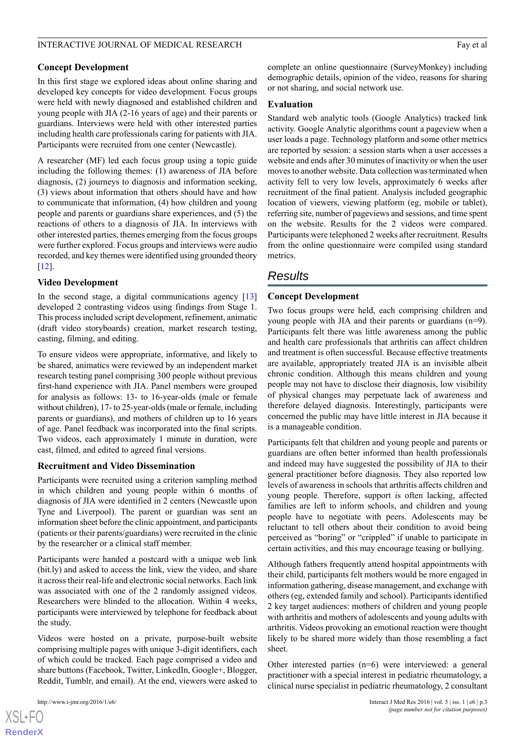#### INTERACTIVE JOURNAL OF MEDICAL RESEARCH Fay et al. Fay et al.

#### **Concept Development**

In this first stage we explored ideas about online sharing and developed key concepts for video development. Focus groups were held with newly diagnosed and established children and young people with JIA (2-16 years of age) and their parents or guardians. Interviews were held with other interested parties including health care professionals caring for patients with JIA. Participants were recruited from one center (Newcastle).

A researcher (MF) led each focus group using a topic guide including the following themes: (1) awareness of JIA before diagnosis, (2) journeys to diagnosis and information seeking, (3) views about information that others should have and how to communicate that information, (4) how children and young people and parents or guardians share experiences, and (5) the reactions of others to a diagnosis of JIA. In interviews with other interested parties, themes emerging from the focus groups were further explored. Focus groups and interviews were audio recorded, and key themes were identified using grounded theory [[12\]](#page-9-4).

#### **Video Development**

In the second stage, a digital communications agency [\[13](#page-9-5)] developed 2 contrasting videos using findings from Stage 1. This process included script development, refinement, animatic (draft video storyboards) creation, market research testing, casting, filming, and editing.

To ensure videos were appropriate, informative, and likely to be shared, animatics were reviewed by an independent market research testing panel comprising 300 people without previous first-hand experience with JIA. Panel members were grouped for analysis as follows: 13- to 16-year-olds (male or female without children), 17- to 25-year-olds (male or female, including parents or guardians), and mothers of children up to 16 years of age. Panel feedback was incorporated into the final scripts. Two videos, each approximately 1 minute in duration, were cast, filmed, and edited to agreed final versions.

#### **Recruitment and Video Dissemination**

Participants were recruited using a criterion sampling method in which children and young people within 6 months of diagnosis of JIA were identified in 2 centers (Newcastle upon Tyne and Liverpool). The parent or guardian was sent an information sheet before the clinic appointment, and participants (patients or their parents/guardians) were recruited in the clinic by the researcher or a clinical staff member.

Participants were handed a postcard with a unique web link (bit.ly) and asked to access the link, view the video, and share it across their real-life and electronic social networks. Each link was associated with one of the 2 randomly assigned videos. Researchers were blinded to the allocation. Within 4 weeks, participants were interviewed by telephone for feedback about the study.

Videos were hosted on a private, purpose-built website comprising multiple pages with unique 3-digit identifiers, each of which could be tracked. Each page comprised a video and share buttons (Facebook, Twitter, LinkedIn, Google+, Blogger, Reddit, Tumblr, and email). At the end, viewers were asked to

[XSL](http://www.w3.org/Style/XSL)•FO **[RenderX](http://www.renderx.com/)**

#### **Evaluation**

Standard web analytic tools (Google Analytics) tracked link activity. Google Analytic algorithms count a pageview when a user loads a page. Technology platform and some other metrics are reported by session: a session starts when a user accesses a website and ends after 30 minutes of inactivity or when the user moves to another website. Data collection was terminated when activity fell to very low levels, approximately 6 weeks after recruitment of the final patient. Analysis included geographic location of viewers, viewing platform (eg, mobile or tablet), referring site, number of pageviews and sessions, and time spent on the website. Results for the 2 videos were compared. Participants were telephoned 2 weeks after recruitment. Results from the online questionnaire were compiled using standard metrics.

## *Results*

#### **Concept Development**

Two focus groups were held, each comprising children and young people with JIA and their parents or guardians (n=9). Participants felt there was little awareness among the public and health care professionals that arthritis can affect children and treatment is often successful. Because effective treatments are available, appropriately treated JIA is an invisible albeit chronic condition. Although this means children and young people may not have to disclose their diagnosis, low visibility of physical changes may perpetuate lack of awareness and therefore delayed diagnosis. Interestingly, participants were concerned the public may have little interest in JIA because it is a manageable condition.

Participants felt that children and young people and parents or guardians are often better informed than health professionals and indeed may have suggested the possibility of JIA to their general practitioner before diagnosis. They also reported low levels of awareness in schools that arthritis affects children and young people. Therefore, support is often lacking, affected families are left to inform schools, and children and young people have to negotiate with peers. Adolescents may be reluctant to tell others about their condition to avoid being perceived as "boring" or "crippled" if unable to participate in certain activities, and this may encourage teasing or bullying.

Although fathers frequently attend hospital appointments with their child, participants felt mothers would be more engaged in information gathering, disease management, and exchange with others (eg, extended family and school). Participants identified 2 key target audiences: mothers of children and young people with arthritis and mothers of adolescents and young adults with arthritis. Videos provoking an emotional reaction were thought likely to be shared more widely than those resembling a fact sheet.

Other interested parties (n=6) were interviewed: a general practitioner with a special interest in pediatric rheumatology, a clinical nurse specialist in pediatric rheumatology, 2 consultant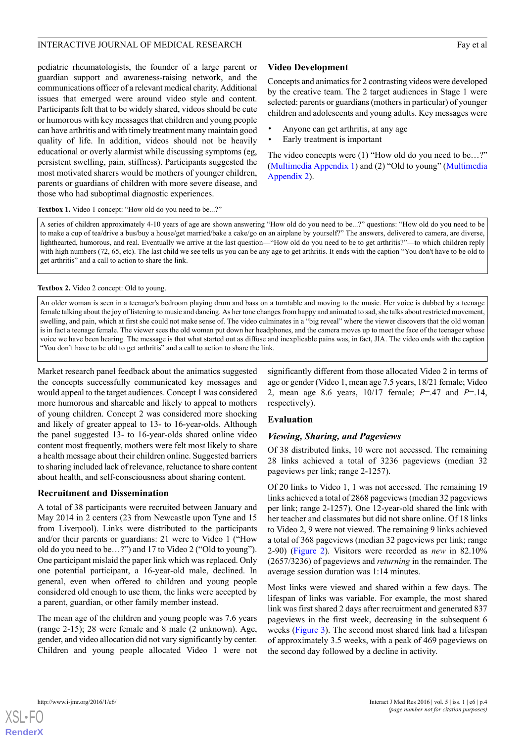#### INTERACTIVE JOURNAL OF MEDICAL RESEARCH FAY EXAMPLE TO A RESEARCH FAY A RESEARCH FAY AND THE SERVER AND THE SERVER AND THE SERVER AND THE SERVER OF MEDICAL RESEARCH

pediatric rheumatologists, the founder of a large parent or guardian support and awareness-raising network, and the communications officer of a relevant medical charity. Additional issues that emerged were around video style and content. Participants felt that to be widely shared, videos should be cute or humorous with key messages that children and young people can have arthritis and with timely treatment many maintain good quality of life. In addition, videos should not be heavily educational or overly alarmist while discussing symptoms (eg, persistent swelling, pain, stiffness). Participants suggested the most motivated sharers would be mothers of younger children, parents or guardians of children with more severe disease, and those who had suboptimal diagnostic experiences.

#### **Video Development**

Concepts and animatics for 2 contrasting videos were developed by the creative team. The 2 target audiences in Stage 1 were selected: parents or guardians (mothers in particular) of younger children and adolescents and young adults. Key messages were

- Anyone can get arthritis, at any age
- Early treatment is important

The video concepts were (1) "How old do you need to be…?" ([Multimedia Appendix 1\)](#page-8-5) and (2) "Old to young" [\(Multimedia](#page-8-6) [Appendix 2\)](#page-8-6).

#### **Textbox 1.** Video 1 concept: "How old do you need to be...?"

A series of children approximately 4-10 years of age are shown answering "How old do you need to be...?" questions: "How old do you need to be to make a cup of tea/drive a bus/buy a house/get married/bake a cake/go on an airplane by yourself?" The answers, delivered to camera, are diverse, lighthearted, humorous, and real. Eventually we arrive at the last question—"How old do you need to be to get arthritis?"—to which children reply with high numbers (72, 65, etc). The last child we see tells us you can be any age to get arthritis. It ends with the caption "You don't have to be old to get arthritis" and a call to action to share the link.

#### **Textbox 2.** Video 2 concept: Old to young.

An older woman is seen in a teenager's bedroom playing drum and bass on a turntable and moving to the music. Her voice is dubbed by a teenage female talking about the joy of listening to music and dancing. As her tone changes from happy and animated to sad, she talks about restricted movement, swelling, and pain, which at first she could not make sense of. The video culminates in a "big reveal" where the viewer discovers that the old woman is in fact a teenage female. The viewer sees the old woman put down her headphones, and the camera moves up to meet the face of the teenager whose voice we have been hearing. The message is that what started out as diffuse and inexplicable pains was, in fact, JIA. The video ends with the caption "You don't have to be old to get arthritis" and a call to action to share the link.

Market research panel feedback about the animatics suggested the concepts successfully communicated key messages and would appeal to the target audiences. Concept 1 was considered more humorous and shareable and likely to appeal to mothers of young children. Concept 2 was considered more shocking and likely of greater appeal to 13- to 16-year-olds. Although the panel suggested 13- to 16-year-olds shared online video content most frequently, mothers were felt most likely to share a health message about their children online. Suggested barriers to sharing included lack of relevance, reluctance to share content about health, and self-consciousness about sharing content.

#### **Recruitment and Dissemination**

A total of 38 participants were recruited between January and May 2014 in 2 centers (23 from Newcastle upon Tyne and 15 from Liverpool). Links were distributed to the participants and/or their parents or guardians: 21 were to Video 1 ("How old do you need to be…?") and 17 to Video 2 ("Old to young"). One participant mislaid the paper link which was replaced. Only one potential participant, a 16-year-old male, declined. In general, even when offered to children and young people considered old enough to use them, the links were accepted by a parent, guardian, or other family member instead.

The mean age of the children and young people was 7.6 years (range 2-15); 28 were female and 8 male (2 unknown). Age, gender, and video allocation did not vary significantly by center. Children and young people allocated Video 1 were not significantly different from those allocated Video 2 in terms of age or gender (Video 1, mean age 7.5 years, 18/21 female; Video 2, mean age 8.6 years, 10/17 female; *P*=.47 and *P*=.14, respectively).

#### **Evaluation**

#### *Viewing, Sharing, and Pageviews*

Of 38 distributed links, 10 were not accessed. The remaining 28 links achieved a total of 3236 pageviews (median 32 pageviews per link; range 2-1257).

Of 20 links to Video 1, 1 was not accessed. The remaining 19 links achieved a total of 2868 pageviews (median 32 pageviews per link; range 2-1257). One 12-year-old shared the link with her teacher and classmates but did not share online. Of 18 links to Video 2, 9 were not viewed. The remaining 9 links achieved a total of 368 pageviews (median 32 pageviews per link; range 2-90) ([Figure 2](#page-4-0)). Visitors were recorded as *new* in 82.10% (2657/3236) of pageviews and *returning* in the remainder. The average session duration was 1:14 minutes.

Most links were viewed and shared within a few days. The lifespan of links was variable. For example, the most shared link was first shared 2 days after recruitment and generated 837 pageviews in the first week, decreasing in the subsequent 6 weeks ([Figure 3\)](#page-4-1). The second most shared link had a lifespan of approximately 3.5 weeks, with a peak of 469 pageviews on the second day followed by a decline in activity.



**[RenderX](http://www.renderx.com/)**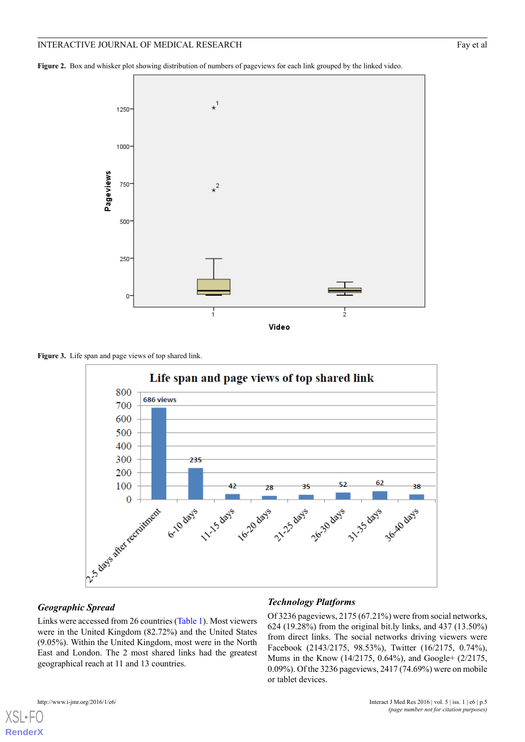#### INTERACTIVE JOURNAL OF MEDICAL RESEARCH Fay et al. Fay et al.

<span id="page-4-0"></span>**Figure 2.** Box and whisker plot showing distribution of numbers of pageviews for each link grouped by the linked video.



<span id="page-4-1"></span>**Figure 3.** Life span and page views of top shared link.



#### *Geographic Spread*

Links were accessed from 26 countries [\(Table 1](#page-5-0)). Most viewers were in the United Kingdom (82.72%) and the United States (9.05%). Within the United Kingdom, most were in the North East and London. The 2 most shared links had the greatest geographical reach at 11 and 13 countries.

#### *Technology Platforms*

Of 3236 pageviews, 2175 (67.21%) were from social networks, 624 (19.28%) from the original bit.ly links, and 437 (13.50%) from direct links. The social networks driving viewers were Facebook (2143/2175, 98.53%), Twitter (16/2175, 0.74%), Mums in the Know (14/2175, 0.64%), and Google+ (2/2175, 0.09%). Of the 3236 pageviews, 2417 (74.69%) were on mobile or tablet devices.

```
XSL•F
```
**[RenderX](http://www.renderx.com/)**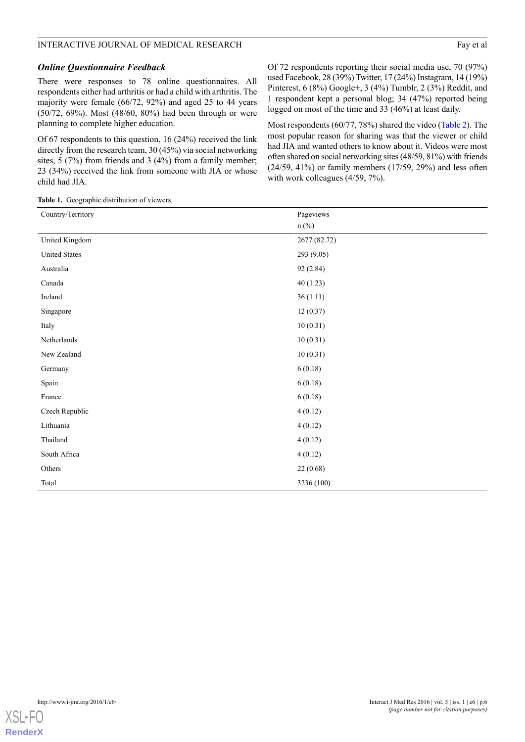#### INTERACTIVE JOURNAL OF MEDICAL RESEARCH Fay et al. Fay et al.

There were responses to 78 online questionnaires. All respondents either had arthritis or had a child with arthritis. The majority were female (66/72, 92%) and aged 25 to 44 years (50/72, 69%). Most (48/60, 80%) had been through or were planning to complete higher education.

Of 67 respondents to this question, 16 (24%) received the link directly from the research team, 30 (45%) via social networking sites, 5 (7%) from friends and 3 (4%) from a family member; 23 (34%) received the link from someone with JIA or whose child had JIA.

Of 72 respondents reporting their social media use, 70 (97%) used Facebook, 28 (39%) Twitter, 17 (24%) Instagram, 14 (19%) Pinterest, 6 (8%) Google+, 3 (4%) Tumblr, 2 (3%) Reddit, and 1 respondent kept a personal blog; 34 (47%) reported being logged on most of the time and 33 (46%) at least daily.

Most respondents (60/77, 78%) shared the video [\(Table 2](#page-6-0)). The most popular reason for sharing was that the viewer or child had JIA and wanted others to know about it. Videos were most often shared on social networking sites (48/59, 81%) with friends (24/59, 41%) or family members (17/59, 29%) and less often with work colleagues (4/59, 7%).

<span id="page-5-0"></span>**Table 1.** Geographic distribution of viewers.

| Country/Territory    | Pageviews    |
|----------------------|--------------|
|                      | $n$ (%)      |
| United Kingdom       | 2677 (82.72) |
| <b>United States</b> | 293 (9.05)   |
| Australia            | 92 (2.84)    |
| Canada               | 40(1.23)     |
| Ireland              | 36(1.11)     |
| Singapore            | 12(0.37)     |
| Italy                | 10(0.31)     |
| Netherlands          | 10(0.31)     |
| New Zealand          | 10(0.31)     |
| Germany              | 6(0.18)      |
| Spain                | 6(0.18)      |
| France               | 6(0.18)      |
| Czech Republic       | 4(0.12)      |
| Lithuania            | 4(0.12)      |
| Thailand             | 4(0.12)      |
| South Africa         | 4(0.12)      |
| Others               | 22 (0.68)    |
| Total                | 3236 (100)   |

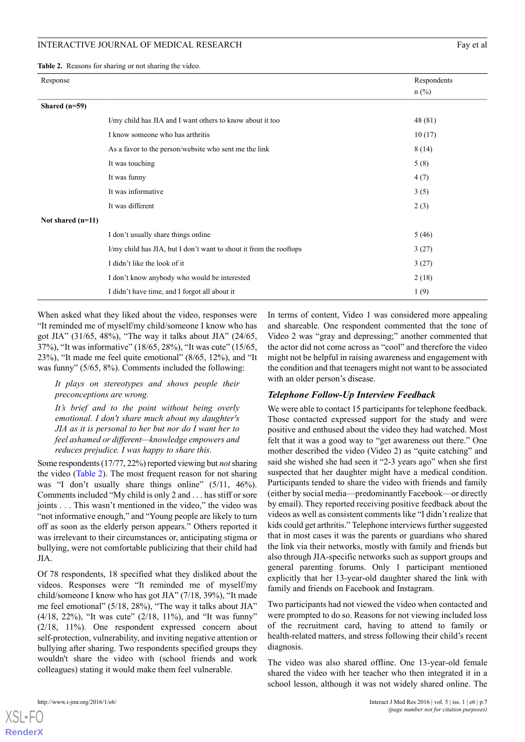#### INTERACTIVE JOURNAL OF MEDICAL RESEARCH FAY ALL THE SEARCH FAY EXPLORE THE SEARCH FAY ALL THE SEARCH FAY ALL THE SEARCH FAY ALL THE SEARCH FAY ALL THE SEARCH FAY ALL THE SEARCH FAY ALL THE SEARCH FAY ALL THE SEARCH FAX ALL

<span id="page-6-0"></span>**Table 2.** Reasons for sharing or not sharing the video.

| Response            |                                                                    | Respondents |
|---------------------|--------------------------------------------------------------------|-------------|
|                     |                                                                    | $n$ (%)     |
| Shared $(n=59)$     |                                                                    |             |
|                     | I/my child has JIA and I want others to know about it too          | 48 (81)     |
|                     | I know someone who has arthritis                                   | 10(17)      |
|                     | As a favor to the person/website who sent me the link              | 8(14)       |
|                     | It was touching                                                    | 5(8)        |
|                     | It was funny                                                       | 4(7)        |
|                     | It was informative                                                 | 3(5)        |
|                     | It was different                                                   | 2(3)        |
| Not shared $(n=11)$ |                                                                    |             |
|                     | I don't usually share things online                                | 5(46)       |
|                     | I/my child has JIA, but I don't want to shout it from the rooftops | 3(27)       |
|                     | I didn't like the look of it                                       | 3(27)       |
|                     | I don't know anybody who would be interested                       | 2(18)       |
|                     | I didn't have time, and I forgot all about it                      | 1(9)        |

When asked what they liked about the video, responses were "It reminded me of myself/my child/someone I know who has got JIA" (31/65, 48%), "The way it talks about JIA" (24/65, 37%), "It was informative" (18/65, 28%), "It was cute" (15/65, 23%), "It made me feel quite emotional" (8/65, 12%), and "It was funny" (5/65, 8%). Comments included the following:

*It plays on stereotypes and shows people their preconceptions are wrong.*

*It's brief and to the point without being overly emotional. I don't share much about my daughter's JIA as it is personal to her but nor do I want her to feel ashamed or different—knowledge empowers and reduces prejudice. I was happy to share this.*

Some respondents (17/77, 22%) reported viewing but *not*sharing the video [\(Table 2](#page-6-0)). The most frequent reason for not sharing was "I don't usually share things online" (5/11, 46%). Comments included "My child is only 2 and . . . has stiff or sore joints . . . This wasn't mentioned in the video," the video was "not informative enough," and "Young people are likely to turn off as soon as the elderly person appears." Others reported it was irrelevant to their circumstances or, anticipating stigma or bullying, were not comfortable publicizing that their child had JIA.

Of 78 respondents, 18 specified what they disliked about the videos. Responses were "It reminded me of myself/my child/someone I know who has got JIA" (7/18, 39%), "It made me feel emotional" (5/18, 28%), "The way it talks about JIA" (4/18, 22%), "It was cute" (2/18, 11%), and "It was funny" (2/18, 11%). One respondent expressed concern about self-protection, vulnerability, and inviting negative attention or bullying after sharing. Two respondents specified groups they wouldn't share the video with (school friends and work colleagues) stating it would make them feel vulnerable.

In terms of content, Video 1 was considered more appealing and shareable. One respondent commented that the tone of Video 2 was "gray and depressing;" another commented that the actor did not come across as "cool" and therefore the video might not be helpful in raising awareness and engagement with the condition and that teenagers might not want to be associated with an older person's disease.

#### *Telephone Follow-Up Interview Feedback*

We were able to contact 15 participants for telephone feedback. Those contacted expressed support for the study and were positive and enthused about the video they had watched. Most felt that it was a good way to "get awareness out there." One mother described the video (Video 2) as "quite catching" and said she wished she had seen it "2-3 years ago" when she first suspected that her daughter might have a medical condition. Participants tended to share the video with friends and family (either by social media—predominantly Facebook—or directly by email). They reported receiving positive feedback about the videos as well as consistent comments like "I didn't realize that kids could get arthritis." Telephone interviews further suggested that in most cases it was the parents or guardians who shared the link via their networks, mostly with family and friends but also through JIA-specific networks such as support groups and general parenting forums. Only 1 participant mentioned explicitly that her 13-year-old daughter shared the link with family and friends on Facebook and Instagram.

Two participants had not viewed the video when contacted and were prompted to do so. Reasons for not viewing included loss of the recruitment card, having to attend to family or health-related matters, and stress following their child's recent diagnosis.

The video was also shared offline. One 13-year-old female shared the video with her teacher who then integrated it in a school lesson, although it was not widely shared online. The

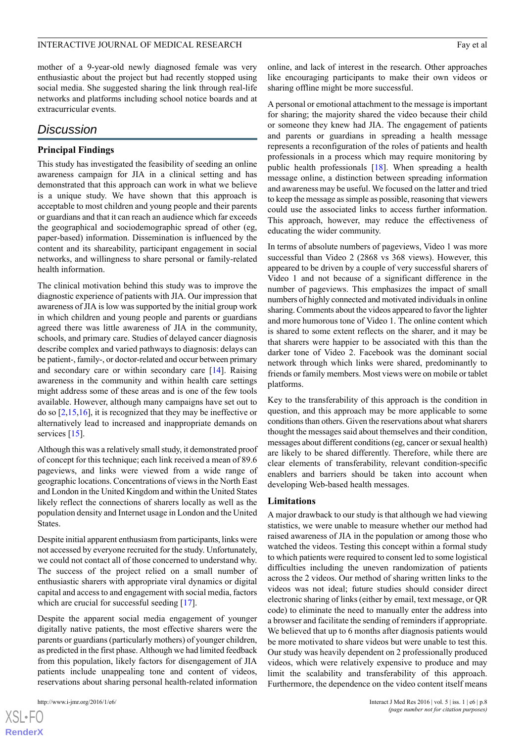#### mother of a 9-year-old newly diagnosed female was very enthusiastic about the project but had recently stopped using social media. She suggested sharing the link through real-life networks and platforms including school notice boards and at extracurricular events.

# *Discussion*

# **Principal Findings**

This study has investigated the feasibility of seeding an online awareness campaign for JIA in a clinical setting and has demonstrated that this approach can work in what we believe is a unique study. We have shown that this approach is acceptable to most children and young people and their parents or guardians and that it can reach an audience which far exceeds the geographical and sociodemographic spread of other (eg, paper-based) information. Dissemination is influenced by the content and its shareability, participant engagement in social networks, and willingness to share personal or family-related health information.

The clinical motivation behind this study was to improve the diagnostic experience of patients with JIA. Our impression that awareness of JIA is low was supported by the initial group work in which children and young people and parents or guardians agreed there was little awareness of JIA in the community, schools, and primary care. Studies of delayed cancer diagnosis describe complex and varied pathways to diagnosis: delays can be patient-, family-, or doctor-related and occur between primary and secondary care or within secondary care [[14\]](#page-9-6). Raising awareness in the community and within health care settings might address some of these areas and is one of the few tools available. However, although many campaigns have set out to do so [\[2](#page-8-1),[15](#page-9-7)[,16](#page-9-8)], it is recognized that they may be ineffective or alternatively lead to increased and inappropriate demands on services [\[15](#page-9-7)].

Although this was a relatively small study, it demonstrated proof of concept for this technique; each link received a mean of 89.6 pageviews, and links were viewed from a wide range of geographic locations. Concentrations of views in the North East and London in the United Kingdom and within the United States likely reflect the connections of sharers locally as well as the population density and Internet usage in London and the United States.

Despite initial apparent enthusiasm from participants, links were not accessed by everyone recruited for the study. Unfortunately, we could not contact all of those concerned to understand why. The success of the project relied on a small number of enthusiastic sharers with appropriate viral dynamics or digital capital and access to and engagement with social media, factors which are crucial for successful seeding [[17\]](#page-9-9).

Despite the apparent social media engagement of younger digitally native patients, the most effective sharers were the parents or guardians (particularly mothers) of younger children, as predicted in the first phase. Although we had limited feedback from this population, likely factors for disengagement of JIA patients include unappealing tone and content of videos, reservations about sharing personal health-related information

[XSL](http://www.w3.org/Style/XSL)•FO **[RenderX](http://www.renderx.com/)** online, and lack of interest in the research. Other approaches like encouraging participants to make their own videos or sharing offline might be more successful.

A personal or emotional attachment to the message is important for sharing; the majority shared the video because their child or someone they knew had JIA. The engagement of patients and parents or guardians in spreading a health message represents a reconfiguration of the roles of patients and health professionals in a process which may require monitoring by public health professionals [[18\]](#page-9-10). When spreading a health message online, a distinction between spreading information and awareness may be useful. We focused on the latter and tried to keep the message as simple as possible, reasoning that viewers could use the associated links to access further information. This approach, however, may reduce the effectiveness of educating the wider community.

In terms of absolute numbers of pageviews, Video 1 was more successful than Video 2 (2868 vs 368 views). However, this appeared to be driven by a couple of very successful sharers of Video 1 and not because of a significant difference in the number of pageviews. This emphasizes the impact of small numbers of highly connected and motivated individuals in online sharing. Comments about the videos appeared to favor the lighter and more humorous tone of Video 1. The online content which is shared to some extent reflects on the sharer, and it may be that sharers were happier to be associated with this than the darker tone of Video 2. Facebook was the dominant social network through which links were shared, predominantly to friends or family members. Most views were on mobile or tablet platforms.

Key to the transferability of this approach is the condition in question, and this approach may be more applicable to some conditions than others. Given the reservations about what sharers thought the messages said about themselves and their condition, messages about different conditions (eg, cancer or sexual health) are likely to be shared differently. Therefore, while there are clear elements of transferability, relevant condition-specific enablers and barriers should be taken into account when developing Web-based health messages.

### **Limitations**

A major drawback to our study is that although we had viewing statistics, we were unable to measure whether our method had raised awareness of JIA in the population or among those who watched the videos. Testing this concept within a formal study to which patients were required to consent led to some logistical difficulties including the uneven randomization of patients across the 2 videos. Our method of sharing written links to the videos was not ideal; future studies should consider direct electronic sharing of links (either by email, text message, or QR code) to eliminate the need to manually enter the address into a browser and facilitate the sending of reminders if appropriate. We believed that up to 6 months after diagnosis patients would be more motivated to share videos but were unable to test this. Our study was heavily dependent on 2 professionally produced videos, which were relatively expensive to produce and may limit the scalability and transferability of this approach. Furthermore, the dependence on the video content itself means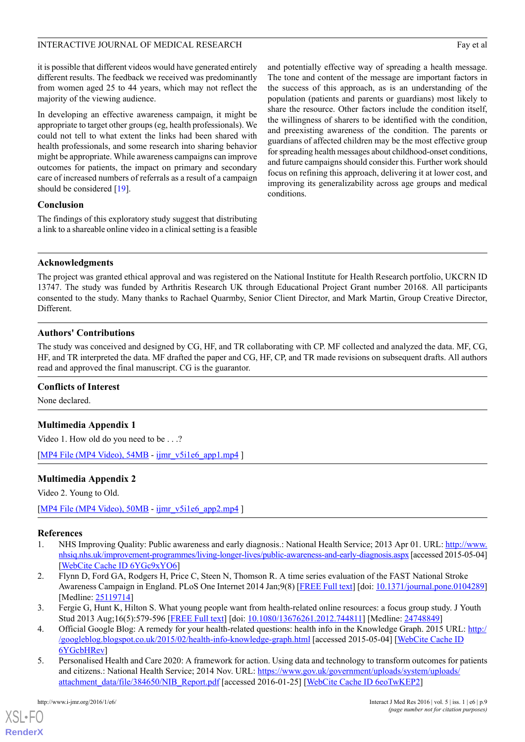#### INTERACTIVE JOURNAL OF MEDICAL RESEARCH FAY ALL THE SEARCH FAY EXPLORE THE SEARCH FAY ALL THE SEARCH FAY ALL THE SEARCH FAY ALL THE SEARCH FAY ALL THE SEARCH FAY ALL THE SEARCH FAY ALL THE SEARCH FAY ALL THE SEARCH FAX ALL

it is possible that different videos would have generated entirely different results. The feedback we received was predominantly from women aged 25 to 44 years, which may not reflect the majority of the viewing audience.

In developing an effective awareness campaign, it might be appropriate to target other groups (eg, health professionals). We could not tell to what extent the links had been shared with health professionals, and some research into sharing behavior might be appropriate. While awareness campaigns can improve outcomes for patients, the impact on primary and secondary care of increased numbers of referrals as a result of a campaign should be considered [[19\]](#page-9-11).

#### **Conclusion**

The findings of this exploratory study suggest that distributing a link to a shareable online video in a clinical setting is a feasible and potentially effective way of spreading a health message. The tone and content of the message are important factors in the success of this approach, as is an understanding of the population (patients and parents or guardians) most likely to share the resource. Other factors include the condition itself, the willingness of sharers to be identified with the condition, and preexisting awareness of the condition. The parents or guardians of affected children may be the most effective group for spreading health messages about childhood-onset conditions, and future campaigns should consider this. Further work should focus on refining this approach, delivering it at lower cost, and improving its generalizability across age groups and medical conditions.

#### **Acknowledgments**

The project was granted ethical approval and was registered on the National Institute for Health Research portfolio, UKCRN ID 13747. The study was funded by Arthritis Research UK through Educational Project Grant number 20168. All participants consented to the study. Many thanks to Rachael Quarmby, Senior Client Director, and Mark Martin, Group Creative Director, Different.

#### **Authors' Contributions**

The study was conceived and designed by CG, HF, and TR collaborating with CP. MF collected and analyzed the data. MF, CG, HF, and TR interpreted the data. MF drafted the paper and CG, HF, CP, and TR made revisions on subsequent drafts. All authors read and approved the final manuscript. CG is the guarantor.

#### <span id="page-8-5"></span>**Conflicts of Interest**

None declared.

#### <span id="page-8-6"></span>**Multimedia Appendix 1**

Video 1. How old do you need to be . . .?

[[MP4 File \(MP4 Video\), 54MB](http://www.i-jmr.org/article/downloadSuppFile/4608/24653) - [ijmr\\_v5i1e6\\_app1.mp4](http://www.i-jmr.org/article/downloadSuppFile/4608/24653) ]

### **Multimedia Appendix 2**

<span id="page-8-0"></span>Video 2. Young to Old.

<span id="page-8-1"></span>[[MP4 File \(MP4 Video\), 50MB](http://www.i-jmr.org/article/downloadSuppFile/4608/24654) - [ijmr\\_v5i1e6\\_app2.mp4](http://www.i-jmr.org/article/downloadSuppFile/4608/24654) ]

#### **References**

- <span id="page-8-2"></span>1. NHS Improving Quality: Public awareness and early diagnosis.: National Health Service; 2013 Apr 01. URL: [http://www.](http://www.nhsiq.nhs.uk/improvement-programmes/living-longer-lives/public-awareness-and-early-diagnosis.aspx) [nhsiq.nhs.uk/improvement-programmes/living-longer-lives/public-awareness-and-early-diagnosis.aspx](http://www.nhsiq.nhs.uk/improvement-programmes/living-longer-lives/public-awareness-and-early-diagnosis.aspx) [accessed 2015-05-04] [[WebCite Cache ID 6YGc9xYO6\]](http://www.webcitation.org/6YGc9xYO6)
- <span id="page-8-3"></span>2. Flynn D, Ford GA, Rodgers H, Price C, Steen N, Thomson R. A time series evaluation of the FAST National Stroke Awareness Campaign in England. PLoS One Internet 2014 Jan;9(8) [[FREE Full text\]](http://www.pubmedcentral.nih.gov/articlerender.fcgi?artid=4131890&tool=pmcentrez&rendertype=abstract) [doi: [10.1371/journal.pone.0104289](http://dx.doi.org/10.1371/journal.pone.0104289)] [Medline: [25119714](http://www.ncbi.nlm.nih.gov/entrez/query.fcgi?cmd=Retrieve&db=PubMed&list_uids=25119714&dopt=Abstract)]
- <span id="page-8-4"></span>3. Fergie G, Hunt K, Hilton S. What young people want from health-related online resources: a focus group study. J Youth Stud 2013 Aug;16(5):579-596 [\[FREE Full text\]](http://www.pubmedcentral.nih.gov/articlerender.fcgi?artid=3982905&tool=pmcentrez&rendertype=abstract) [doi: [10.1080/13676261.2012.744811](http://dx.doi.org/10.1080/13676261.2012.744811)] [Medline: [24748849\]](http://www.ncbi.nlm.nih.gov/entrez/query.fcgi?cmd=Retrieve&db=PubMed&list_uids=24748849&dopt=Abstract)
- 4. Official Google Blog: A remedy for your health-related questions: health info in the Knowledge Graph. 2015 URL: [http:/](http://googleblog.blogspot.co.uk/2015/02/health-info-knowledge-graph.html) [/googleblog.blogspot.co.uk/2015/02/health-info-knowledge-graph.html](http://googleblog.blogspot.co.uk/2015/02/health-info-knowledge-graph.html) [accessed 2015-05-04] [[WebCite Cache ID](http://www.webcitation.org/6YGcbHRev) [6YGcbHRev\]](http://www.webcitation.org/6YGcbHRev)
- 5. Personalised Health and Care 2020: A framework for action. Using data and technology to transform outcomes for patients and citizens.: National Health Service; 2014 Nov. URL: [https://www.gov.uk/government/uploads/system/uploads/](https://www.gov.uk/government/uploads/system/uploads/attachment_data/file/384650/NIB_Report.pdf) [attachment\\_data/file/384650/NIB\\_Report.pdf](https://www.gov.uk/government/uploads/system/uploads/attachment_data/file/384650/NIB_Report.pdf) [accessed 2016-01-25] [[WebCite Cache ID 6eoTwKEP2](http://www.webcitation.org/6eoTwKEP2)]